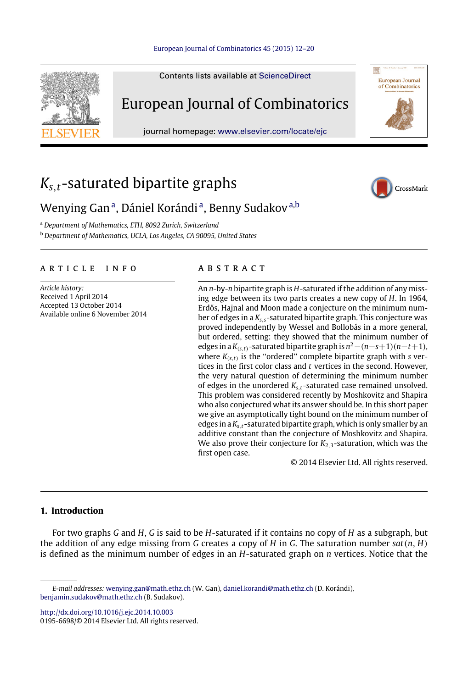

Contents lists available at [ScienceDirect](http://www.elsevier.com/locate/ejc)

# European Journal of Combinatorics

journal homepage: [www.elsevier.com/locate/ejc](http://www.elsevier.com/locate/ejc)

# *Ks*,*t*-saturated bipartite graphs



European Journal<br>of Combinatorics

## Wenying G[a](#page-0-0)nª, Dániel Korándiª, Benny Sudakov<sup>a[,b](#page-0-1)</sup>

<span id="page-0-0"></span><sup>a</sup> *Department of Mathematics, ETH, 8092 Zurich, Switzerland*

<span id="page-0-1"></span><sup>b</sup> *Department of Mathematics, UCLA, Los Angeles, CA 90095, United States*

#### a r t i c l e i n f o

*Article history:* Received 1 April 2014 Accepted 13 October 2014 Available online 6 November 2014

#### a b s t r a c t

An *n*-by-*n* bipartite graph is *H*-saturated if the addition of any missing edge between its two parts creates a new copy of *H*. In 1964, Erdős, Hajnal and Moon made a conjecture on the minimum number of edges in a *Ks*,*s*-saturated bipartite graph. This conjecture was proved independently by Wessel and Bollobás in a more general, but ordered, setting: they showed that the minimum number of edges in a *K*(*s*,*t*)-saturated bipartite graph is *n* <sup>2</sup>−(*n*−*s*+1)(*n*−*t*+1), where *K*(*s*,*t*) is the ''ordered'' complete bipartite graph with *s* vertices in the first color class and *t* vertices in the second. However, the very natural question of determining the minimum number of edges in the unordered *Ks*,*<sup>t</sup>* -saturated case remained unsolved. This problem was considered recently by Moshkovitz and Shapira who also conjectured what its answer should be. In this short paper we give an asymptotically tight bound on the minimum number of edges in a *Ks*,*<sup>t</sup>* -saturated bipartite graph, which is only smaller by an additive constant than the conjecture of Moshkovitz and Shapira. We also prove their conjecture for  $K_{2,3}$ -saturation, which was the first open case.

© 2014 Elsevier Ltd. All rights reserved.

### **1. Introduction**

For two graphs *G* and *H*, *G* is said to be *H*-saturated if it contains no copy of *H* as a subgraph, but the addition of any edge missing from *G* creates a copy of *H* in *G*. The saturation number *sat*(*n*, *H*) is defined as the minimum number of edges in an *H*-saturated graph on *n* vertices. Notice that the

<http://dx.doi.org/10.1016/j.ejc.2014.10.003>

0195-6698/© 2014 Elsevier Ltd. All rights reserved.

*E-mail addresses:* [wenying.gan@math.ethz.ch](mailto:wenying.gan@math.ethz.ch) (W. Gan), [daniel.korandi@math.ethz.ch](mailto:daniel.korandi@math.ethz.ch) (D. Korándi), [benjamin.sudakov@math.ethz.ch](mailto:benjamin.sudakov@math.ethz.ch) (B. Sudakov).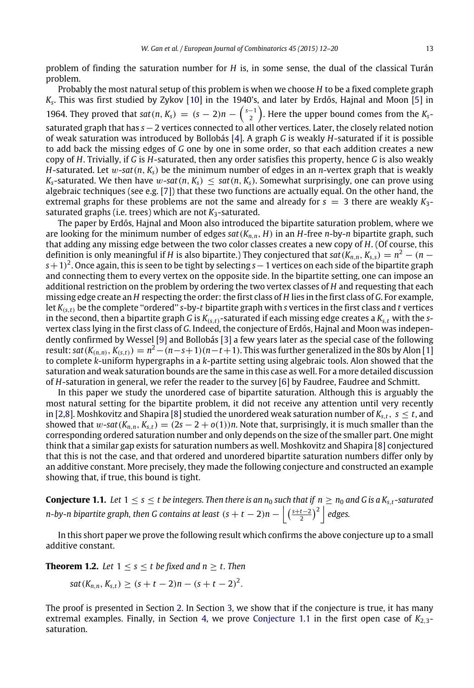problem of finding the saturation number for *H* is, in some sense, the dual of the classical Turán problem.

Probably the most natural setup of this problem is when we choose *H* to be a fixed complete graph *Ks* . This was first studied by Zykov [\[10\]](#page-8-0) in the 1940's, and later by Erdős, Hajnal and Moon [\[5\]](#page-8-1) in 1964. They proved that *sat*(*n*,  $K_s$ ) =  $(s - 2)n - {s-1 \choose 2}$ . Here the upper bound comes from the  $K_s$ saturated graph that has *s*−2 vertices connected to all other vertices. Later, the closely related notion of weak saturation was introduced by Bollobás [\[4\]](#page-8-2). A graph *G* is weakly *H*-saturated if it is possible to add back the missing edges of *G* one by one in some order, so that each addition creates a new copy of *H*. Trivially, if *G* is *H*-saturated, then any order satisfies this property, hence *G* is also weakly *H*-saturated. Let  $w$ -sat $(n, K_s)$  be the minimum number of edges in an *n*-vertex graph that is weakly *K*<sub>s</sub>-saturated. We then have w-sat $(n, K_s)$  < sat $(n, K_s)$ . Somewhat surprisingly, one can prove using algebraic techniques (see e.g. [\[7\]](#page-8-3)) that these two functions are actually equal. On the other hand, the extremal graphs for these problems are not the same and already for  $s = 3$  there are weakly  $K_3$ saturated graphs (i.e. trees) which are not  $K_3$ -saturated.

The paper by Erdős, Hajnal and Moon also introduced the bipartite saturation problem, where we are looking for the minimum number of edges *sat*(*Kn*,*n*, *H*) in an *H*-free *n*-by-*n* bipartite graph, such that adding any missing edge between the two color classes creates a new copy of *H*. (Of course, this definition is only meaningful if *H* is also bipartite.) They conjectured that  $sat(K_{n,n}, K_{s,s}) = n^2 - (n - 1)^2$ *s*+1) 2 . Once again, this is seen to be tight by selecting *s*−1 vertices on each side of the bipartite graph and connecting them to every vertex on the opposite side. In the bipartite setting, one can impose an additional restriction on the problem by ordering the two vertex classes of *H* and requesting that each missing edge create an *H* respecting the order: the first class of *H* lies in the first class of *G*. For example, let *K*(*s*,*t*) be the complete ''ordered'' *s*-by-*t* bipartite graph with *s* vertices in the first class and *t* vertices in the second, then a bipartite graph *G* is  $K_{(s,t)}$ -saturated if each missing edge creates a  $K_{s,t}$  with the *s*vertex class lying in the first class of *G*. Indeed, the conjecture of Erdős, Hajnal and Moon was independently confirmed by Wessel [\[9\]](#page-8-4) and Bollobás [\[3\]](#page-8-5) a few years later as the special case of the following result:  $sat(K_{(n,n)}, K_{(s,t)}) = n^2-(n-s+1)(n-t+1)$ . This was further generalized in the 80s by Alon [\[1\]](#page-8-6) to complete *k*-uniform hypergraphs in a *k*-partite setting using algebraic tools. Alon showed that the saturation and weak saturation bounds are the same in this case as well. For a more detailed discussion of *H*-saturation in general, we refer the reader to the survey [\[6\]](#page-8-7) by Faudree, Faudree and Schmitt.

In this paper we study the unordered case of bipartite saturation. Although this is arguably the most natural setting for the bipartite problem, it did not receive any attention until very recently in [\[2](#page-8-8)[,8\]](#page-8-9). Moshkovitz and Shapira [\[8\]](#page-8-9) studied the unordered weak saturation number of  $K_{s,t}$ ,  $s \le t$ , and showed that w-sat $(K_{n,n}, K_{s,t}) = (2s - 2 + o(1))n$ . Note that, surprisingly, it is much smaller than the corresponding ordered saturation number and only depends on the size of the smaller part. One might think that a similar gap exists for saturation numbers as well. Moshkovitz and Shapira [\[8\]](#page-8-9) conjectured that this is not the case, and that ordered and unordered bipartite saturation numbers differ only by an additive constant. More precisely, they made the following conjecture and constructed an example showing that, if true, this bound is tight.

<span id="page-1-0"></span>**Conjecture 1.1.** Let  $1 \le s \le t$  be integers. Then there is an  $n_0$  such that if  $n \ge n_0$  and G is a  $K_{s,t}$ -saturated *n-by-n bipartite graph, then G contains at least*  $(s + t - 2)n - \left| \left( \frac{s + t - 2}{2} \right)^2 \right|$  *edges.* 

In this short paper we prove the following result which confirms the above conjecture up to a small additive constant.

**Theorem 1.2.** *Let*  $1 \leq s \leq t$  *be fixed and n*  $\geq t$ *. Then* 

<span id="page-1-1"></span>
$$
sat(K_{n,n}, K_{s,t}) \geq (s+t-2)n-(s+t-2)^2.
$$

The proof is presented in Section [2.](#page-2-0) In Section [3,](#page-5-0) we show that if the conjecture is true, it has many extremal examples. Finally, in Section [4,](#page-5-1) we prove [Conjecture 1.1](#page-1-0) in the first open case of  $K_{2,3}$ saturation.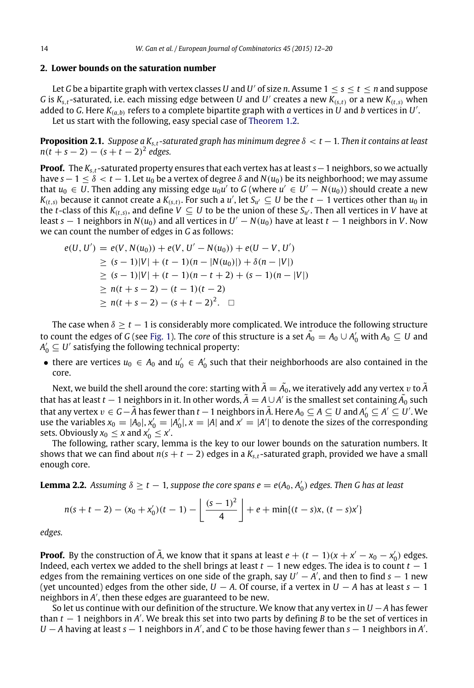#### <span id="page-2-0"></span>**2. Lower bounds on the saturation number**

Let *G* be a bipartite graph with vertex classes *U* and *U'* of size *n*. Assume  $1 \leq s \leq t \leq n$  and suppose *G* is  $K_{s,t}$ -saturated, i.e. each missing edge between  $U$  and  $U'$  creates a new  $K_{(s,t)}$  or a new  $K_{(t,s)}$  when added to *G.* Here  $K_{(a,b)}$  refers to a complete bipartite graph with  $a$  vertices in  $U$  and  $b$  vertices in  $U'$ . Let us start with the following, easy special case of [Theorem 1.2.](#page-1-1)

<span id="page-2-2"></span>**Proposition 2.1.** *Suppose a Ks*,*<sup>t</sup> -saturated graph has minimum degree* δ < *t* −1*. Then it contains at least n*(*t* + *s* − 2) − (*s* + *t* − 2) 2 *edges.*

**Proof.** The *Ks*,*<sup>t</sup>* -saturated property ensures that each vertex has at least *s*−1 neighbors, so we actually have  $s-1 \leq \delta < t-1$ . Let  $u_0$  be a vertex of degree  $\delta$  and  $N(u_0)$  be its neighborhood; we may assume that  $u_0 \in U$ . Then adding any missing edge  $u_0u'$  to G (where  $u' \in U' - N(u_0)$ ) should create a new *K*<sub>(*t*,*s*)</sub> because it cannot create a *K*<sub>(*s*,*t*)</sub>. For such a *u'*, let *S*<sub>*u'*</sub>  $\subseteq$  *U* be the *t* − 1 vertices other than *u*<sub>0</sub> in the *t*-class of this  $K_{(t,s)}$ , and define  $V\subseteq U$  to be the union of these  $S_{u'}$ . Then all vertices in  $V$  have at least  $s-1$  neighbors in  $N(u_0)$  and all vertices in  $U'-N(u_0)$  have at least  $t-1$  neighbors in  $V.$  Now we can count the number of edges in *G* as follows:

$$
e(U, U') = e(V, N(u_0)) + e(V, U' - N(u_0)) + e(U - V, U')
$$
  
\n
$$
\ge (s - 1)|V| + (t - 1)(n - |N(u_0)|) + \delta(n - |V|)
$$
  
\n
$$
\ge (s - 1)|V| + (t - 1)(n - t + 2) + (s - 1)(n - |V|)
$$
  
\n
$$
\ge n(t + s - 2) - (t - 1)(t - 2)
$$
  
\n
$$
\ge n(t + s - 2) - (s + t - 2)^2.
$$

The case when  $\delta \geq t - 1$  is considerably more complicated. We introduce the following structure to count the edges of *G* (see [Fig. 1\)](#page-3-0). The *core* of this structure is a set  $\tilde{A_0} = A_0 \cup A'_0$  with  $A_0 \subseteq U$  and  $A'_0 \subseteq U'$  satisfying the following technical property:

• there are vertices  $u_0 \in A_0$  and  $u'_0 \in A'_0$  such that their neighborhoods are also contained in the core.

Next, we build the shell around the core: starting with  $\tilde{A}=\tilde{A_0}$ , we iteratively add any vertex  $v$  to  $\tilde{A}$ that has at least *t* − 1 neighbors in it. In other words,  $\tilde{A} = A \cup A'$  is the smallest set containing  $\tilde{A_0}$  such that any vertex  $v\in G-\widetilde{A}$  has fewer than  $t-1$  neighbors in  $\widetilde{A}$ . Here  $A_0\subseteq A\subseteq U$  and  $A_0'\subseteq A'\subseteq U'$ . We use the variables  $x_0 = |A_0|$ ,  $x'_0 = |A'_0|$ ,  $x = |A|$  and  $x' = |A'|$  to denote the sizes of the corresponding sets. Obviously  $x_0 \leq x$  and  $x'_0 \leq x'$ .

The following, rather scary, lemma is the key to our lower bounds on the saturation numbers. It shows that we can find about  $n(s + t - 2)$  edges in a  $K_{s,t}$ -saturated graph, provided we have a small enough core.

**Lemma 2.2.** Assuming  $\delta \ge t - 1$ , suppose the core spans  $e = e(A_0, A'_0)$  edges. Then G has at least

<span id="page-2-1"></span>
$$
n(s+t-2) - (x_0 + x'_0)(t-1) - \left\lfloor \frac{(s-1)^2}{4} \right\rfloor + e + \min\{(t-s)x, (t-s)x'\}
$$

*edges.*

**Proof.** By the construction of  $\tilde{A}$ , we know that it spans at least  $e + (t - 1)(x + x' - x_0 - x'_0)$  edges. Indeed, each vertex we added to the shell brings at least  $t - 1$  new edges. The idea is to count  $t - 1$ edges from the remaining vertices on one side of the graph, say *U* ′ − *A* ′ , and then to find *s* − 1 new (yet uncounted) edges from the other side,  $U - A$ . Of course, if a vertex in  $U - A$  has at least  $s - 1$  $\overline{\mathsf{ne}}$  ighbors in  $A'$ , then these edges are guaranteed to be new.

So let us continue with our definition of the structure. We know that any vertex in *U* −*A* has fewer than *t* − 1 neighbors in *A* ′ . We break this set into two parts by defining *B* to be the set of vertices in *U* − *A* having at least *s* − 1 neighbors in *A*', and *C* to be those having fewer than *s* − 1 neighbors in *A*'.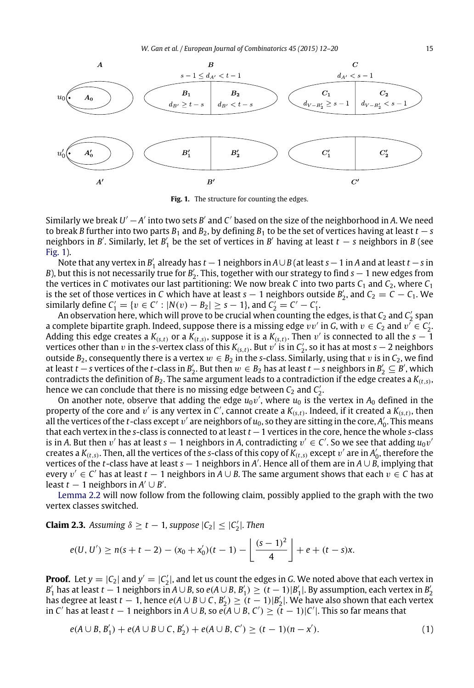<span id="page-3-0"></span>

**Fig. 1.** The structure for counting the edges.

Similarly we break  $U' - A'$  into two sets  $B'$  and  $C'$  based on the size of the neighborhood in A. We need to break *B* further into two parts  $B_1$  and  $B_2$ , by defining  $B_1$  to be the set of vertices having at least  $t - s$ neighbors in *B'*. Similarly, let *B'*<sub>1</sub> be the set of vertices in *B'* having at least  $t - s$  neighbors in *B* (see [Fig. 1\)](#page-3-0).

Note that any vertex in *B* ′ 1 already has *t* −1 neighbors in *A*∪*B* (at least *s*−1 in *A* and at least *t* −*s* in *B*), but this is not necessarily true for *B*<sup>2</sup><sub>2</sub>. This, together with our strategy to find *s* − 1 new edges from the vertices in *C* motivates our last partitioning: We now break *C* into two parts  $C_1$  and  $C_2$ , where  $C_1$ is the set of those vertices in *C* which have at least *s* − 1 neighbors outside  $B'_2$ , and  $C_2 = C - C_1$ . We similarly define  $C'_1 = \{v \in C' : |N(v) - B_2| \ge s - 1\}$ , and  $C'_2 = C' - C'_1$ .

An observation here, which will prove to be crucial when counting the edges, is that  $\mathit{C}_2$  and  $\mathit{C}'_2$  span a complete bipartite graph. Indeed, suppose there is a missing edge  $vv'$  in *G*, with  $v \in C_2$  and  $v' \in C_2'$ . Adding this edge creates a  $K_{(s,t)}$  or a  $\hat{K_{(t,s)}}$ , suppose it is a  $K_{(s,t)}$ . Then  $v'$  is connected to all the  $s-1$ vertices other than v in the *s*-vertex class of this  $K_{(s,t)}$ . But v' is in  $C'_2$ , so it has at most  $s-2$  neighbors outside  $B_2$ , consequently there is a vertex  $w \in B_2$  in the *s*-class. Similarly, using that v is in  $C_2$ , we find at least *t* − *s* vertices of the *t*-class in  $B'_2$ . But then  $w \in B_2$  has at least *t* − *s* neighbors in  $B'_2 \subseteq B'$ , which contradicts the definition of *B*2. The same argument leads to a contradiction if the edge creates a *K*(*t*,*s*) , hence we can conclude that there is no missing edge between  $C_2$  and  $C_2'$ .

On another note, observe that adding the edge  $u_0v'$ , where  $u_0$  is the vertex in  $A_0$  defined in the property of the core and  $v'$  is any vertex in C', cannot create a  $K_{(s,t)}$ . Indeed, if it created a  $K_{(s,t)}$ , then all the vertices of the *t*-class except  $v'$  are neighbors of  $u_0$ , so they are sitting in the core,  $A'_0$ . This means that each vertex in the *s*-class is connected to at least *t* −1 vertices in the core, hence the whole *s*-class is in A. But then  $v'$  has at least  $s-1$  neighbors in A, contradicting  $v' \in C'$ . So we see that adding  $u_0v'$ creates a  $K_{(t,s)}$ . Then, all the vertices of the *s*-class of this copy of  $K_{(t,s)}$  except  $v'$  are in  $A'_0$ , therefore the vertices of the *t*-class have at least *s* − 1 neighbors in *A* ′ . Hence all of them are in *A* ∪ *B*, implying that every v ′ ∈ *C* ′ has at least *t* − 1 neighbors in *A* ∪ *B*. The same argument shows that each v ∈ *C* has at least  $t-1$  neighbors in  $A' \cup B'$ .

[Lemma 2.2](#page-2-1) will now follow from the following claim, possibly applied to the graph with the two vertex classes switched.

**Claim 2.3.** Assuming  $\delta \geq t - 1$ , suppose  $|C_2| \leq |C'_2|$ . Then

<span id="page-3-1"></span>
$$
e(U, U') \ge n(s+t-2) - (x_0 + x'_0)(t-1) - \left\lfloor \frac{(s-1)^2}{4} \right\rfloor + e + (t-s)x.
$$

**Proof.** Let  $y = |C_2|$  and  $y' = |C_2'|$ , and let us count the edges in *G*. We noted above that each vertex in  $B'_1$  has at least  $t-1$  neighbors in  $A\cup B$ , so  $e(A\cup B, B'_1)\geq (t-1)|B'_1|$ . By assumption, each vertex in  $B'_2$  $B_1$  has at least  $t - 1$  heighbors in  $N \cup B$ , so  $\mathcal{C}(N \cup B, B_1) \ge (t - 1)|B_1|$ . By assumption, each vertex in  $B_2$  has degree at least  $t - 1$ , hence  $e(A \cup B \cup C, B_2') \ge (t - 1)|B_2|$ . We have also shown that each vertex in *C'* has at least *t* − 1 neighbors in *A* ∪ *B*, so  $e(A \cup B, C') \ge (t - 1)|C'|$ . This so far means that

$$
e(A \cup B, B'_1) + e(A \cup B \cup C, B'_2) + e(A \cup B, C') \ge (t - 1)(n - x').
$$
\n(1)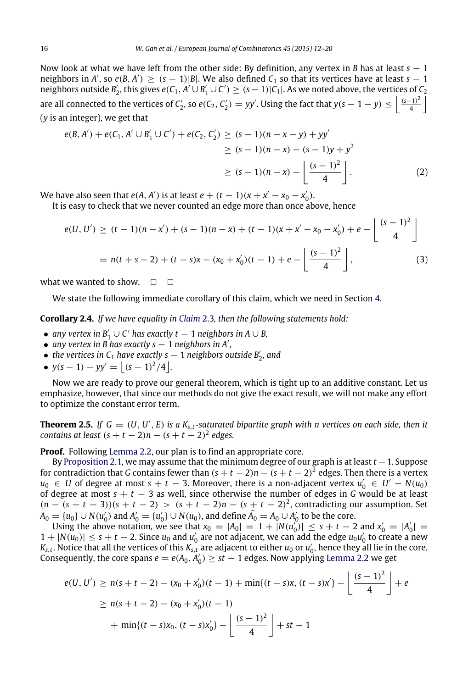Now look at what we have left from the other side: By definition, any vertex in *B* has at least *s* − 1 neighbors in *A'*, so  $e(B, A') \ge (s - 1)|B|$ . We also defined  $C_1$  so that its vertices have at least  $s - 1$ neighbors outside  $B'_2$ , this gives  $e(C_1, A' \cup B'_1 \cup C') \ge (s-1)|C_1|$ . As we noted above, the vertices of  $C_2$ are all connected to the vertices of  $C'_2$ , so  $e(C_2, C'_2) = yy'$ . Using the fact that  $y(s-1-y) \leq \left\lfloor \frac{(s-1)^2}{4} \right\rfloor$  $\frac{(-1)^2}{4}$ (*y* is an integer), we get that

$$
e(B, A') + e(C_1, A' \cup B'_1 \cup C') + e(C_2, C'_2) \ge (s - 1)(n - x - y) + yy'
$$
  
\n
$$
\ge (s - 1)(n - x) - (s - 1)y + y^2
$$
  
\n
$$
\ge (s - 1)(n - x) - \left\lfloor \frac{(s - 1)^2}{4} \right\rfloor.
$$
 (2)

We have also seen that  $e(A, A')$  is at least  $e + (t - 1)(x + x' - x_0 - x'_0)$ .

It is easy to check that we never counted an edge more than once above, hence

$$
e(U, U') \ge (t - 1)(n - x') + (s - 1)(n - x) + (t - 1)(x + x' - x_0 - x'_0) + e - \left[ \frac{(s - 1)^2}{4} \right]
$$
  
=  $n(t + s - 2) + (t - s)x - (x_0 + x'_0)(t - 1) + e - \left[ \frac{(s - 1)^2}{4} \right],$  (3)

what we wanted to show.  $\Box$ 

<span id="page-4-0"></span>We state the following immediate corollary of this claim, which we need in Section [4.](#page-5-1)

**Corollary 2.4.** *If we have equality in [Claim](#page-3-1)* 2.3*, then the following statements hold:*

- *any vertex in*  $B'_1 \cup C'$  *has exactly t* − 1 *neighbors in*  $A \cup B$ *,*
- *any vertex in B has exactly s* − 1 *neighbors in A*′ *,*
- *the vertices in*  $C_1$  *have exactly s*  $-1$  *neighbors outside B'*<sub>2</sub>*, and*
- $y(s-1) yy' = |(s-1)^2/4|$ .

Now we are ready to prove our general theorem, which is tight up to an additive constant. Let us emphasize, however, that since our methods do not give the exact result, we will not make any effort to optimize the constant error term.

<span id="page-4-1"></span>**Theorem 2.5.** If  $G = (U, U', E)$  is a  $K_{s,t}$ -saturated bipartite graph with n vertices on each side, then it *contains at least*  $(s + t - 2)n - (s + t - 2)^2$  *edges.* 

**Proof.** Following [Lemma 2.2,](#page-2-1) our plan is to find an appropriate core.

By [Proposition 2.1,](#page-2-2) we may assume that the minimum degree of our graph is at least *t* −1. Suppose for contradiction that *G* contains fewer than  $(s + t - 2)n - (s + t - 2)^2$  edges. Then there is a vertex *u*<sub>0</sub> ∈ *U* of degree at most *s* + *t* − 3. Moreover, there is a non-adjacent vertex  $u'_{0}$  ∈ *U'* − *N*(*u*<sub>0</sub>) of degree at most *s* + *t* − 3 as well, since otherwise the number of edges in *G* would be at least  $(n - (s + t - 3))(s + t - 2) > (s + t - 2)n - (s + t - 2)^2$ , contradicting our assumption. Set *A*<sup>0</sup> = {*u*<sup>0</sup>} ∪ *N*(*u*<sup> $'$ </sup><sub>0</sub>) and *A*<sup> $'$ </sup><sub>0</sub> = {*u*<sup> $'$ </sup><sub>0</sub>} ∪ *N*(*u*<sub>0</sub>), and define  $\tilde{A_0} = A_0 \cup A_0'$  to be the core.

Using the above notation, we see that  $x_0 = |A_0| = 1 + |N(u'_0)| \leq s + t - 2$  and  $x'_0 = |A'_0|$  $1 + |N(u_0)| \leq s + t - 2$ . Since  $u_0$  and  $u'_0$  are not adjacent, we can add the edge  $u_0u'_0$  to create a new  $K_{s,t}.$  Notice that all the vertices of this  $K_{s,t}$  are adjacent to either  $u_0$  or  $u_0'$ , hence they all lie in the core. Consequently, the core spans  $e = e(A_0, A'_0) \ge st - 1$  edges. Now applying [Lemma 2.2](#page-2-1) we get

$$
e(U, U') \ge n(s + t - 2) - (x_0 + x'_0)(t - 1) + \min\{(t - s)x, (t - s)x'\} - \left\lfloor \frac{(s - 1)^2}{4} \right\rfloor + e
$$
  
 
$$
\ge n(s + t - 2) - (x_0 + x'_0)(t - 1)
$$
  
 
$$
+ \min\{(t - s)x_0, (t - s)x'_0\} - \left\lfloor \frac{(s - 1)^2}{4} \right\rfloor + st - 1
$$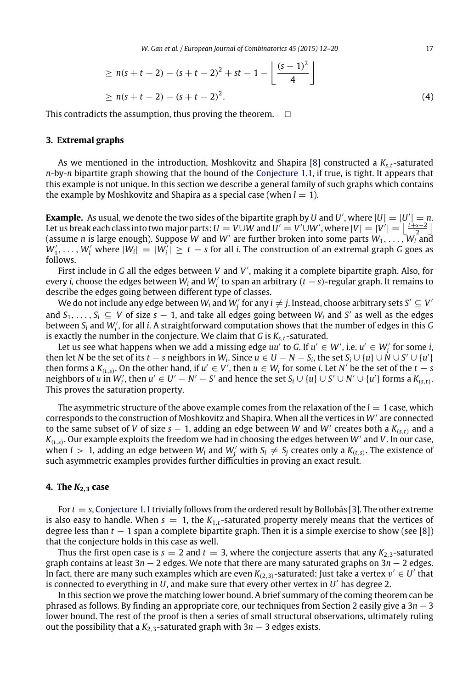*W. Gan et al. / European Journal of Combinatorics 45 (2015) 12–20* 17

$$
\geq n(s+t-2) - (s+t-2)^2 + st - 1 - \left\lfloor \frac{(s-1)^2}{4} \right\rfloor
$$
  
 
$$
\geq n(s+t-2) - (s+t-2)^2.
$$
 (4)

This contradicts the assumption, thus proving the theorem.  $\Box$ 

#### <span id="page-5-0"></span>**3. Extremal graphs**

As we mentioned in the introduction, Moshkovitz and Shapira [\[8\]](#page-8-9) constructed a *Ks*,*<sup>t</sup>* -saturated *n*-by-*n* bipartite graph showing that the bound of the [Conjecture 1.1,](#page-1-0) if true, is tight. It appears that this example is not unique. In this section we describe a general family of such graphs which contains the example by Moshkovitz and Shapira as a special case (when  $l = 1$ ).

**Example.** As usual, we denote the two sides of the bipartite graph by *U* and *U'*, where  $|U| = |U'| = n$ . Let us break each class into two major parts:  $U = V \cup W$  and  $U' = V' \cup W'$ , where  $|V| = |V'| = \left| \frac{t+s-2}{2} \right|$  $\alpha$  is large enough). Suppose *W* and *W*<sup> $\prime$ </sup> are further broken into some parts  $W_1, \ldots, W_l$  and  $W_l$  and  $W_l$  are further broken into some parts  $W_1, \ldots, W_l$  and  $W'_1, \ldots, W'_l$  where  $|W_i| = |W'_i| \ge t - s$  for all *i*. The construction of an extremal graph *G* goes as follows.

First include in *G* all the edges between *V* and *V* ′ , making it a complete bipartite graph. Also, for every *i*, choose the edges between  $W_i$  and  $W'_i$  to span an arbitrary  $(t - s)$ -regular graph. It remains to describe the edges going between different type of classes.

We do not include any edge between  $W_i$  and  $W'_j$  for any  $i\neq j$ . Instead, choose arbitrary sets  $S'\subseteq V'$ and  $S_1, \ldots, S_l \subseteq V$  of size  $s - 1$ , and take all edges going between  $W_i$  and  $S'$  as well as the edges between *<sup>S</sup><sup>i</sup>* and *<sup>W</sup>*′ *i* , for all *i*. A straightforward computation shows that the number of edges in this *G* is exactly the number in the conjecture. We claim that *G* is *Ks*,*<sup>t</sup>* -saturated.

Let us see what happens when we add a missing edge  $uu'$  to *G*. If  $u' \in W'$ , i.e.  $u' \in W'_i$  for some *i*, then let *N* be the set of its  $t - s$  neighbors in  $W_i$ . Since  $u \in U - N - S_i$ , the set  $S_i \cup \{u\} \cup N \cup S' \cup \{u'\}$ then forms a  $K_{(t,s)}$ . On the other hand, if  $u' \in V'$ , then  $u \in W_i$  for some *i*. Let  $N'$  be the set of the  $t - s$ neighbors of u in  $W'_i$ , then  $u' \in U' - N' - S'$  and hence the set  $S_i \cup \{u\} \cup S' \cup N' \cup \{u'\}$  forms a  $K_{(s,t)}$ . This proves the saturation property.

The asymmetric structure of the above example comes from the relaxation of the  $l = 1$  case, which corresponds to the construction of Moshkovitz and Shapira. When all the vertices in *W*′ are connected to the same subset of *V* of size  $s - 1$ , adding an edge between *W* and *W'* creates both a  $K_{(s,t)}$  and a  $K_{(t,s)}$ . Our example exploits the freedom we had in choosing the edges between W' and V. In our case, when  $l > 1$ , adding an edge between  $W_i$  and  $W'_j$  with  $S_i \neq S_j$  creates only a  $K_{(t,s)}$ . The existence of such asymmetric examples provides further difficulties in proving an exact result.

#### <span id="page-5-1"></span>**4. The** *K***2**,**<sup>3</sup> case**

For *t* = *s*, [Conjecture 1.1](#page-1-0) trivially follows from the ordered result by Bollobás [\[3\]](#page-8-5). The other extreme is also easy to handle. When  $s = 1$ , the  $K_{1,t}$ -saturated property merely means that the vertices of degree less than *t* − 1 span a complete bipartite graph. Then it is a simple exercise to show (see [\[8\]](#page-8-9)) that the conjecture holds in this case as well.

Thus the first open case is  $s = 2$  and  $t = 3$ , where the conjecture asserts that any  $K_{2,3}$ -saturated graph contains at least 3*n* − 2 edges. We note that there are many saturated graphs on 3*n* − 2 edges. In fact, there are many such examples which are even  $K_{(2,3)}$ -saturated: Just take a vertex  $v' \in U'$  that is connected to everything in *U*, and make sure that every other vertex in *U* ′ has degree 2.

In this section we prove the matching lower bound. A brief summary of the coming theorem can be phrased as follows. By finding an appropriate core, our techniques from Section [2](#page-2-0) easily give a 3*n* − 3 lower bound. The rest of the proof is then a series of small structural observations, ultimately ruling out the possibility that a  $K_{2,3}$ -saturated graph with 3*n* − 3 edges exists.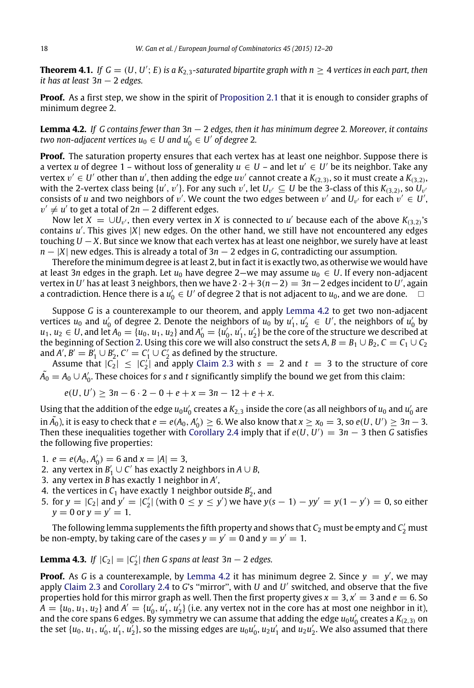**Theorem 4.1.** If  $G = (U, U'; E)$  is a  $K_{2,3}$ -saturated bipartite graph with  $n \geq 4$  vertices in each part, then *it has at least* 3*n* − 2 *edges.*

**Proof.** As a first step, we show in the spirit of [Proposition 2.1](#page-2-2) that it is enough to consider graphs of minimum degree 2.

<span id="page-6-0"></span>**Lemma 4.2.** *If G contains fewer than* 3*n* − 2 *edges, then it has minimum degree* 2*. Moreover, it contains two non-adjacent vertices*  $u_0 \in U$  *and*  $u'_0 \in U'$  *of degree 2.* 

**Proof.** The saturation property ensures that each vertex has at least one neighbor. Suppose there is a vertex *u* of degree 1 – without loss of generality  $u \in U$  – and let  $u' \in U'$  be its neighbor. Take any vertex  $v' \in U'$  other than  $u'$ , then adding the edge  $uv'$  cannot create a  $K_{(2,3)}$ , so it must create a  $K_{(3,2)}$ , with the 2-vertex class being  $\{u', v'\}$ . For any such  $v'$ , let  $U_{v'} \subseteq U$  be the 3-class of this  $K_{(3,2)}$ , so  $U_{v'}$ consists of *u* and two neighbors of  $v'$ . We count the two edges between  $v'$  and  $U_{v'}$  for each  $v' \in U'$ ,  $v' \neq u'$  to get a total of  $2n-2$  different edges.

Now let  $X = \cup U_{v'}$ , then every vertex in *X* is connected to *u'* because each of the above  $K_{(3,2)}$ 's contains *u* ′ . This gives |*X*| new edges. On the other hand, we still have not encountered any edges touching *U* − *X*. But since we know that each vertex has at least one neighbor, we surely have at least *n* − |*X*| new edges. This is already a total of 3*n* − 2 edges in *G*, contradicting our assumption.

Therefore the minimum degree is at least 2, but in fact it is exactly two, as otherwise we would have at least 3*n* edges in the graph. Let  $u_0$  have degree 2—we may assume  $u_0 \in U$ . If every non-adjacent  $\text{vertex in } U'$  has at least 3 neighbors, then we have 2  $\cdot$  2  $+$  3( $n-2$ ) = 3 $n-2$  edges incident to  $U'$ , again a contradiction. Hence there is a  $u_0' \in U'$  of degree 2 that is not adjacent to  $u_0$ , and we are done.  $\Box$ 

Suppose *G* is a counterexample to our theorem, and apply [Lemma 4.2](#page-6-0) to get two non-adjacent vertices  $u_0$  and  $u'_0$  of degree 2. Denote the neighbors of  $u_0$  by  $u'_1, u'_2 \in U'$ , the neighbors of  $u'_0$  by  $u_1, u_2 \in U$ , and let  $A_0 = \{u_0, u_1, u_2\}$  and  $A'_0 = \{u'_0, u'_1, u'_2\}$  be the core of the structure we described at the beginning of Section [2.](#page-2-0) Using this core we will also construct the sets  $A, B = B_1 \cup B_2, C = C_1 \cup C_2$ and *A'*,  $B' = B'_1 \cup B'_2$ ,  $C' = C'_1 \cup C'_2$  as defined by the structure.

Assume that  $|C_2| \leq |C_2'|$  and apply [Claim 2.3](#page-3-1) with  $s = 2$  and  $t = 3$  to the structure of core  $\tilde{A_0}=A_0\cup A'_0.$  These choices for *s* and *t* significantly simplify the bound we get from this claim:

$$
e(U, U') \ge 3n - 6 \cdot 2 - 0 + e + x = 3n - 12 + e + x.
$$

Using that the addition of the edge  $u_0u_0'$  creates a  $K_{2,3}$  inside the core (as all neighbors of  $u_0$  and  $u_0'$  are in  $\tilde{A_0}$ ), it is easy to check that  $e = e(A_0, A'_0) \ge 6$ . We also know that  $x \ge x_0 = 3$ , so  $e(U, U') \ge 3n - 3$ . Then these inequalities together with [Corollary 2.4](#page-4-0) imply that if  $e(U, U') = 3n - 3$  then G satisfies the following five properties:

- 1.  $e = e(A_0, A'_0) = 6$  and  $x = |A| = 3$ ,
- 2. any vertex in  $B'_1 \cup C'$  has exactly 2 neighbors in  $A \cup B$ ,
- 3. any vertex in *B* has exactly 1 neighbor in *A* ′ ,
- 4. the vertices in  $C_1$  have exactly 1 neighbor outside  $B'_2$ , and
- 5. for  $y = |C_2|$  and  $y' = |C'_2|$  (with  $0 \le y \le y'$ ) we have  $y(s 1) yy' = y(1 y') = 0$ , so either  $y = 0$  or  $y = y' = 1$ .

The following lemma supplements the fifth property and shows that  $\mathit{C}_2$  must be empty and  $\mathit{C}_2^\prime$  must be non-empty, by taking care of the cases  $y = y' = 0$  and  $y = y' = 1$ .

**Lemma 4.3.** *If*  $|C_2| = |C'_2|$  *then G spans at least* 3*n* − 2 *edges.* 

**Proof.** As G is a counterexample, by [Lemma 4.2](#page-6-0) it has minimum degree 2. Since  $y = y'$ , we may apply [Claim 2.3](#page-3-1) and [Corollary 2.4](#page-4-0) to *G*'s ''mirror'', with *U* and *U* ′ switched, and observe that the five properties hold for this mirror graph as well. Then the first property gives  $x = 3$ ,  $x' = 3$  and  $e = 6$ . So  $A = \{u_0, u_1, u_2\}$  and  $A' = \{u'_0, u'_1, u'_2\}$  (i.e. any vertex not in the core has at most one neighbor in it), and the core spans 6 edges. By symmetry we can assume that adding the edge  $u_0u_0'$  creates a  $K_{(2,3)}$  on the set  $\{u_0, u_1, u'_0, u'_1, u'_2\}$ , so the missing edges are  $u_0u'_0$ ,  $u_2u'_1$  and  $u_2u'_2$ . We also assumed that there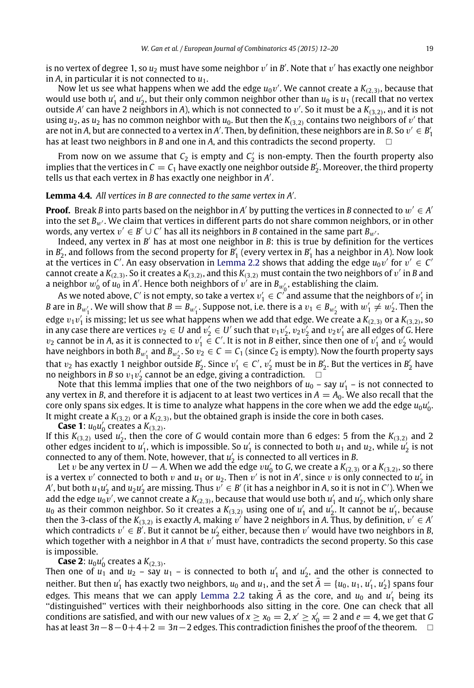is no vertex of degree 1, so  $u_2$  must have some neighbor  $v^\prime$  in  $\mathcal{B}^\prime$ . Note that  $v^\prime$  has exactly one neighbor in *A*, in particular it is not connected to *u*1.

Now let us see what happens when we add the edge  $u_0v'$ . We cannot create a  $K_{(2,3)}$ , because that would use both  $u'_1$  and  $u'_2$ , but their only common neighbor other than  $u_0$  is  $u_1$  (recall that no vertex outside *A* ′ can have 2 neighbors in *A*), which is not connected to v ′ . So it must be a *K*(3,2) , and it is not using  $u_2$ , as  $u_2$  has no common neighbor with  $u_0$ . But then the  $K_{(3,2)}$  contains two neighbors of  $v'$  that are not in *A*, but are connected to a vertex in *A'*. Then, by definition, these neighbors are in *B*. So  $v' \in B'_1$ has at least two neighbors in *B* and one in *A*, and this contradicts the second property.

From now on we assume that  $C_2$  is empty and  $C_2$  is non-empty. Then the fourth property also implies that the vertices in  $C = C_1$  have exactly one neighbor outside  $B'_2$ . Moreover, the third property tells us that each vertex in *B* has exactly one neighbor in *A* ′ .

### **Lemma 4.4.** *All vertices in B are connected to the same vertex in A*′ *.*

**Proof.** Break *B* into parts based on the neighbor in *A'* by putting the vertices in *B* connected to  $w' \in A'$ into the set *B<sub>w'</sub>*. We claim that vertices in different parts do not share common neighbors, or in other words, any vertex  $v' \in B' \cup C'$  has all its neighbors in *B* contained in the same part  $B_{w'}$ .

Indeed, any vertex in *B'* has at most one neighbor in *B*: this is true by definition for the vertices in  $B'_2$ , and follows from the second property for  $B'_1$  (every vertex in  $B'_1$  has a neighbor in *A*). Now look at the vertices in *C'*. An easy observation in [Lemma 2.2](#page-2-1) shows that adding the edge  $u_0v'$  for  $v' \in C'$ cannot create a  $K_{(2,3)}$ . So it creates a  $K_{(3,2)}$ , and this  $K_{(3,2)}$  must contain the two neighbors of  $v'$  in *B* and a neighbor  $w'_0$  of  $\overline{u_0}$  in *A'*. Hence both neighbors of  $v'$  are in  $B_{w'_0}$ , establishing the claim.

As we noted above, *C'* is not empty, so take a vertex  $v'_1 \in C'$  and assume that the neighbors of  $v'_1$  in *B* are in  $B_{w'_1}$ . We will show that  $B = B_{w'_1}$ . Suppose not, i.e. there is a  $v_1 \in B_{w'_2}$  with  $w'_1 \neq w'_2$ . Then the edge  $v_1v_1'$  is missing; let us see what happens when we add that edge. We create a  $K_{(2,3)}$  or a  $K_{(3,2)}$ , so in any case there are vertices  $v_2 \in U$  and  $v_2' \in U'$  such that  $v_1v_2'$ ,  $v_2v_2'$  and  $v_2v_1'$  are all edges of *G*. Here  $v_2$  cannot be in *A*, as it is connected to  $v'_1 \in C'$ . It is not in *B* either, since then one of  $v'_1$  and  $v'_2$  would have neighbors in both  $B_{w_1'}$  and  $B_{w_2'}$ . So  $v_2 \in C = C_1$  (since  $C_2$  is empty). Now the fourth property says that  $v_2$  has exactly 1 neighbor outside  $B'_2$ . Since  $v'_1 \in C'$ ,  $v'_2$  must be in  $B'_2$ . But the vertices in  $B'_2$  have no neighbors in *B* so  $v_1v_2'$  cannot be an edge, giving a contradiction.  $\Box$ 

Note that this lemma implies that one of the two neighbors of  $u_0$  – say  $u'_1$  – is not connected to any vertex in *B*, and therefore it is adjacent to at least two vertices in  $A = A_0$ . We also recall that the core only spans six edges. It is time to analyze what happens in the core when we add the edge  $u_0u'_0$ . It might create a  $K_{(3,2)}$  or a  $K_{(2,3)}$ , but the obtained graph is inside the core in both cases.

**Case 1:**  $u_0 u_0'$  creates a  $K_{(3,2)}$ .

If this  $K_{(3,2)}$  used  $u'_2$ , then the core of *G* would contain more than 6 edges: 5 from the  $K_{(3,2)}$  and 2 other edges incident to  $u'_1$ , which is impossible. So  $u'_1$  is connected to both  $u_1$  and  $u_2$ , while  $u'_2$  is not connected to any of them. Note, however, that  $u_2$  is connected to all vertices in *B*.

Let v be any vertex in  $U - A$ . When we add the edge vu'<sub>0</sub> to *G*, we create a  $K_{(2,3)}$  or a  $K_{(3,2)}$ , so there is a vertex v' connected to both v and  $u_1$  or  $u_2$ . Then v' is not in *A'*, since v is only connected to  $u'_2$  in *A'*, but both  $u_1u_2'$  and  $u_2u_2'$  are missing. Thus  $v'\in B'$  (it has a neighbor in *A*, so it is not in *C'*). When we add the edge  $u_0v'$ , we cannot create a  $K_{(2,3)}$ , because that would use both  $u'_1$  and  $u'_2$ , which only share  $u_0$  as their common neighbor. So it creates a  $K_{(3,2)}$  using one of  $u'_1$  and  $u'_2$ . It cannot be  $u'_1$ , because then the 3-class of the  $K_{(3,2)}$  is exactly A, making v' have 2 neighbors in A. Thus, by definition,  $v' \in A'$ which contradicts  $v' \in B'$ . But it cannot be  $u'_2$  either, because then  $v'$  would have two neighbors in *B*, which together with a neighbor in A that  $v'$  must have, contradicts the second property. So this case is impossible.

**Case 2:**  $u_0 u_0'$  creates a  $K_{(2,3)}$ .

Then one of  $u_1$  and  $u_2$  – say  $u_1$  – is connected to both  $u'_1$  and  $u'_2$ , and the other is connected to neither. But then  $u'_1$  has exactly two neighbors,  $u_0$  and  $u_1$ , and the set  $\bar{A} = \{u_0, u_1, u'_1, u'_2\}$  spans four edges. This means that we can apply [Lemma 2.2](#page-2-1) taking  $\bar{A}$  as the core, and  $u_0$  and  $u'_1$  being its ''distinguished'' vertices with their neighborhoods also sitting in the core. One can check that all conditions are satisfied, and with our new values of  $x \ge x_0 = 2$ ,  $x' \ge x'_0 = 2$  and  $e = 4$ , we get that *G* has at least 3*n*−8−0+4+2 = 3*n*−2 edges. This contradiction finishes the proof of the theorem.